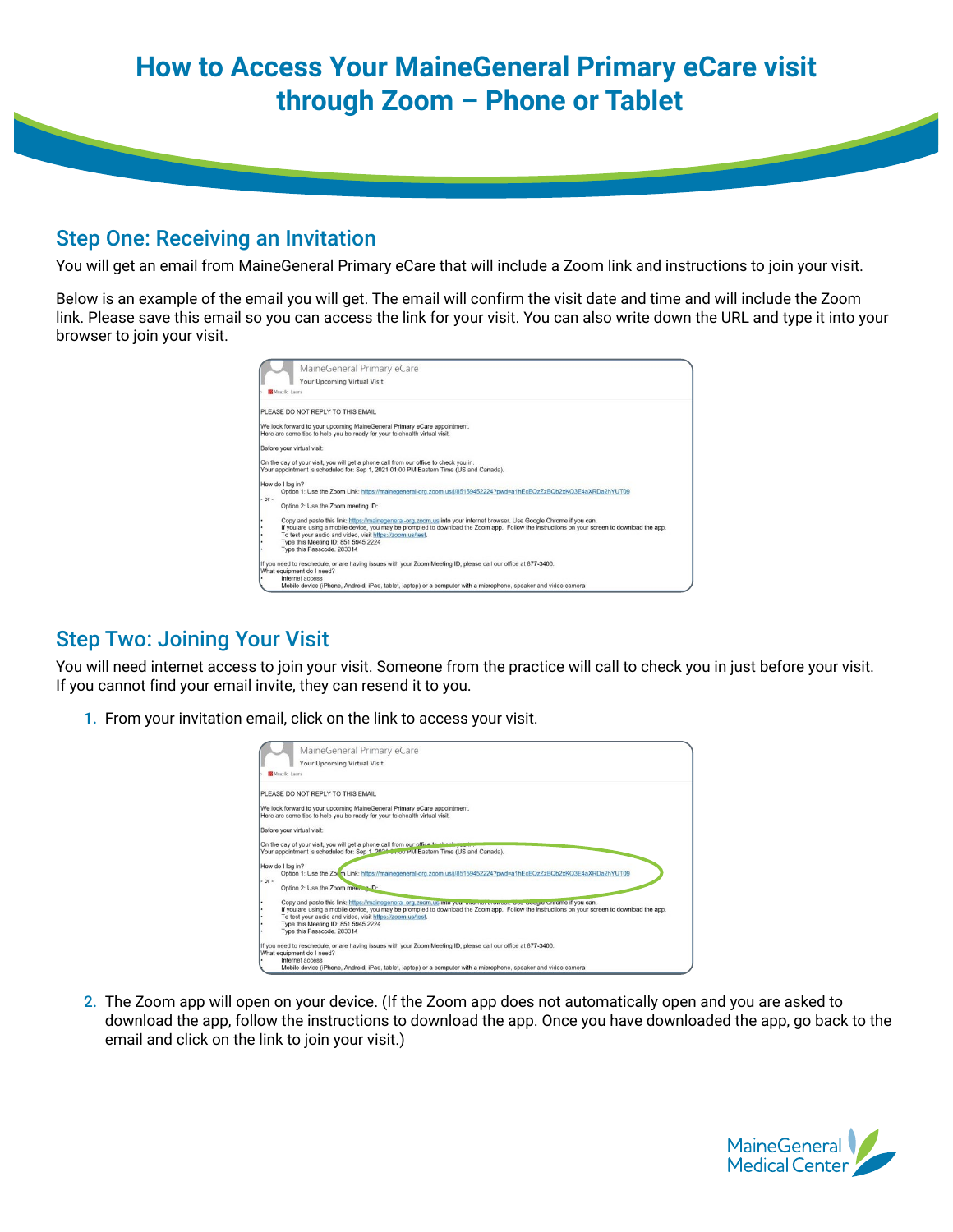## **How to Access Your MaineGeneral Primary eCare visit through Zoom – Phone or Tablet**

## Step One: Receiving an Invitation

You will get an email from MaineGeneral Primary eCare that will include a Zoom link and instructions to join your visit.

Below is an example of the email you will get. The email will confirm the visit date and time and will include the Zoom link. Please save this email so you can access the link for your visit. You can also write down the URL and type it into your browser to join your visit.

|         | MaineGeneral Primary eCare                                                                                                                                                    |
|---------|-------------------------------------------------------------------------------------------------------------------------------------------------------------------------------|
|         | Your Upcoming Virtual Visit                                                                                                                                                   |
|         |                                                                                                                                                                               |
|         | <b>M</b> Mrazik, Laura                                                                                                                                                        |
|         | PLEASE DO NOT REPLY TO THIS EMAIL                                                                                                                                             |
|         | We look forward to your upcoming MaineGeneral Primary eCare appointment.                                                                                                      |
|         | Here are some tips to help you be ready for your telehealth virtual visit.                                                                                                    |
|         | Before your virtual visit:                                                                                                                                                    |
|         |                                                                                                                                                                               |
|         | On the day of your visit, you will get a phone call from our office to check you in.<br>Your appointment is scheduled for: Sep 1, 2021 01:00 PM Eastern Time (US and Canada). |
|         |                                                                                                                                                                               |
|         | How do I log in?                                                                                                                                                              |
|         | Option 1: Use the Zoom Link: https://mainegeneral-org.zoom.us/j/85159452224?pwd=a1hEcEQzZzBQb2xKQ3E4aXRDa2hYUT09                                                              |
| $-OT -$ |                                                                                                                                                                               |
|         | Option 2: Use the Zoom meeting ID:                                                                                                                                            |
| ٠       | Copy and paste this link: https://mainegeneral-org.zoom.us into your internet browser. Use Google Chrome if you can.                                                          |
| Ŀ       | If you are using a mobile device, you may be prompted to download the Zoom app. Follow the instructions on your screen to download the app.                                   |
| ۰       | To test your audio and video, visit https://zoom.us/test.                                                                                                                     |
| ٠       | Type this Meeting ID: 851 5945 2224                                                                                                                                           |
|         | Type this Passcode: 283314                                                                                                                                                    |
|         | If you need to reschedule, or are having issues with your Zoom Meeting ID, please call our office at 877-3400.                                                                |
|         | What equipment do I need?                                                                                                                                                     |
|         | Internet access                                                                                                                                                               |
|         | Mobile device (iPhone, Android, iPad, tablet, laptop) or a computer with a microphone, speaker and video camera                                                               |

## Step Two: Joining Your Visit

You will need internet access to join your visit. Someone from the practice will call to check you in just before your visit. If you cannot find your email invite, they can resend it to you.

1. From your invitation email, click on the link to access your visit.

|         | MaineGeneral Primary eCare                                                                                                                  |
|---------|---------------------------------------------------------------------------------------------------------------------------------------------|
|         | Your Upcoming Virtual Visit                                                                                                                 |
|         | Mrazik, Laura                                                                                                                               |
|         | PLEASE DO NOT REPLY TO THIS EMAIL                                                                                                           |
|         | We look forward to your upcoming MaineGeneral Primary eCare appointment.                                                                    |
|         | Here are some tips to help you be ready for your telehealth virtual visit.                                                                  |
|         | Before your virtual visit:                                                                                                                  |
|         | On the day of your visit, you will get a phone call from our office to check your in                                                        |
|         | Your appointment is scheduled for: Sep 1, 2024 on our PM Eastern Time (US and Canada).                                                      |
|         | How do I log in?                                                                                                                            |
|         | Option 1: Use the Zoum Link: https://mainegeneral-org.zoom.us/j/85159452224?pwd=a1hEcEQzZzBQb2xKQ3E4aXRDa2hYUT09                            |
| $-0r -$ | Option 2: Use the Zoom mee  ID:                                                                                                             |
| ٠       | Copy and paste this link: https://mainegeneral-org.zoom.us into your microsoft coverage. Ose Occure Chrome if you can.                      |
|         | If you are using a mobile device, you may be prompted to download the Zoom app. Follow the instructions on your screen to download the app. |
|         | To test your audio and video, visit https://zoom.us/test.                                                                                   |
|         | Type this Meeting ID: 851 5945 2224                                                                                                         |
|         | Type this Passcode: 283314                                                                                                                  |
|         | If you need to reschedule, or are having issues with your Zoom Meeting ID, please call our office at 877-3400.                              |
|         | What equipment do I need?                                                                                                                   |
|         | Internet access                                                                                                                             |
|         | Mobile device (iPhone, Android, iPad, tablet, laptop) or a computer with a microphone, speaker and video camera                             |

2. The Zoom app will open on your device. (If the Zoom app does not automatically open and you are asked to download the app, follow the instructions to download the app. Once you have downloaded the app, go back to the email and click on the link to join your visit.)

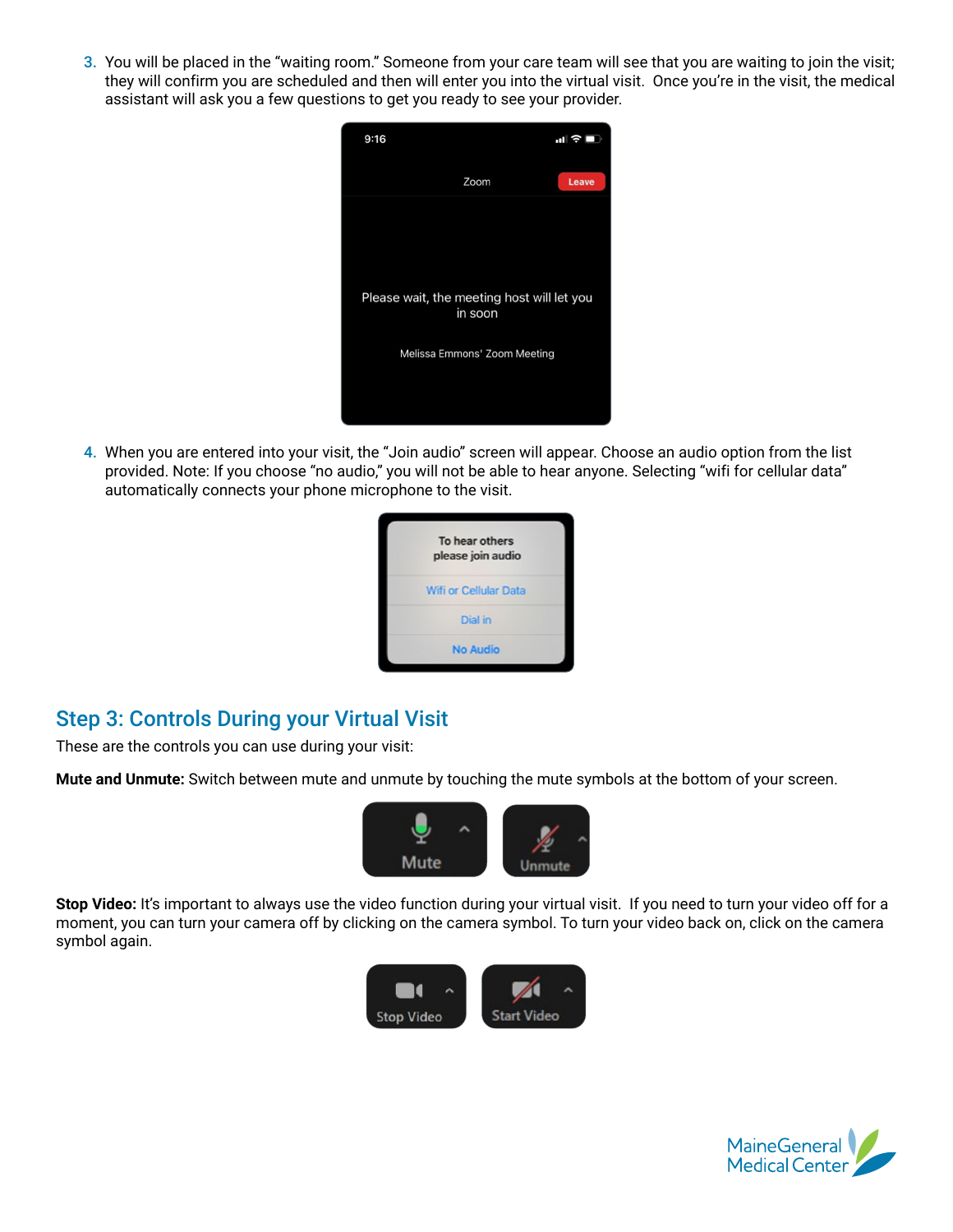3. You will be placed in the "waiting room." Someone from your care team will see that you are waiting to join the visit; they will confirm you are scheduled and then will enter you into the virtual visit. Once you're in the visit, the medical assistant will ask you a few questions to get you ready to see your provider.



4. When you are entered into your visit, the "Join audio" screen will appear. Choose an audio option from the list provided. Note: If you choose "no audio," you will not be able to hear anyone. Selecting "wifi for cellular data" automatically connects your phone microphone to the visit.

| To hear others<br>please join audio |
|-------------------------------------|
| <b>Wifi or Cellular Data</b>        |
| Dial in                             |
| <b>No Audio</b>                     |

## Step 3: Controls During your Virtual Visit

These are the controls you can use during your visit:

**Mute and Unmute:** Switch between mute and unmute by touching the mute symbols at the bottom of your screen.



**Stop Video:** It's important to always use the video function during your virtual visit. If you need to turn your video off for a moment, you can turn your camera off by clicking on the camera symbol. To turn your video back on, click on the camera symbol again.